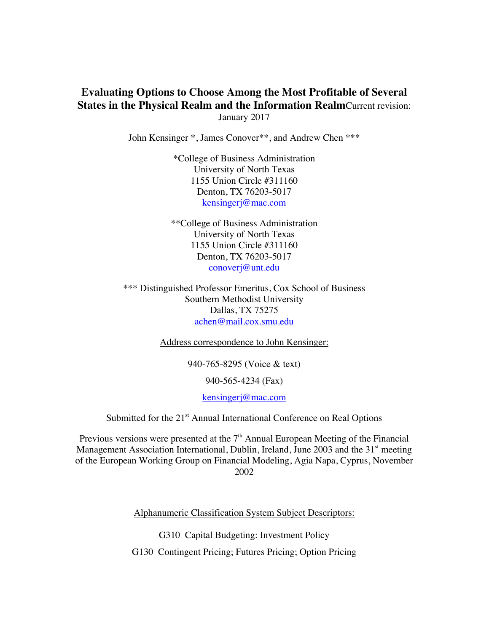# **Evaluating Options to Choose Among the Most Profitable of Several States in the Physical Realm and the Information Realm**Current revision: January 2017

John Kensinger \*, James Conover\*\*, and Andrew Chen \*\*\*

\*College of Business Administration University of North Texas 1155 Union Circle #311160 Denton, TX 76203-5017 kensingerj@mac.com

\*\*College of Business Administration University of North Texas 1155 Union Circle #311160 Denton, TX 76203-5017 conoverj@unt.edu

\*\*\* Distinguished Professor Emeritus, Cox School of Business Southern Methodist University Dallas, TX 75275 achen@mail.cox.smu.edu

Address correspondence to John Kensinger:

940-765-8295 (Voice & text)

940-565-4234 (Fax)

kensingerj@mac.com

Submitted for the 21<sup>st</sup> Annual International Conference on Real Options

Previous versions were presented at the  $7<sup>th</sup>$  Annual European Meeting of the Financial Management Association International, Dublin, Ireland, June 2003 and the  $31<sup>st</sup>$  meeting of the European Working Group on Financial Modeling, Agia Napa, Cyprus, November 2002

Alphanumeric Classification System Subject Descriptors:

G310 Capital Budgeting: Investment Policy

G130 Contingent Pricing; Futures Pricing; Option Pricing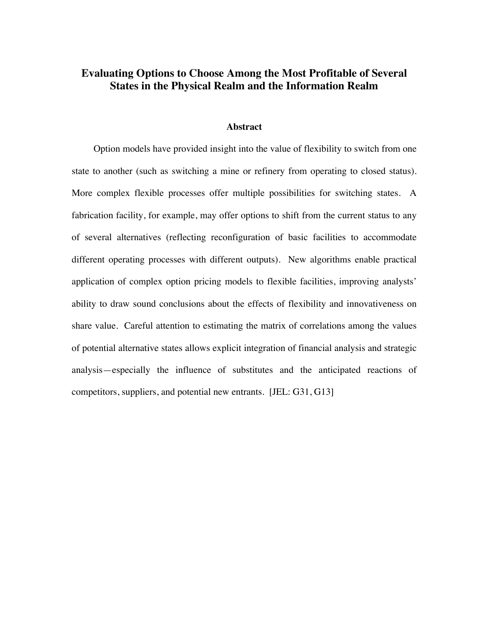# **Evaluating Options to Choose Among the Most Profitable of Several States in the Physical Realm and the Information Realm**

### **Abstract**

Option models have provided insight into the value of flexibility to switch from one state to another (such as switching a mine or refinery from operating to closed status). More complex flexible processes offer multiple possibilities for switching states. A fabrication facility, for example, may offer options to shift from the current status to any of several alternatives (reflecting reconfiguration of basic facilities to accommodate different operating processes with different outputs). New algorithms enable practical application of complex option pricing models to flexible facilities, improving analysts' ability to draw sound conclusions about the effects of flexibility and innovativeness on share value. Careful attention to estimating the matrix of correlations among the values of potential alternative states allows explicit integration of financial analysis and strategic analysis—especially the influence of substitutes and the anticipated reactions of competitors, suppliers, and potential new entrants. [JEL: G31, G13]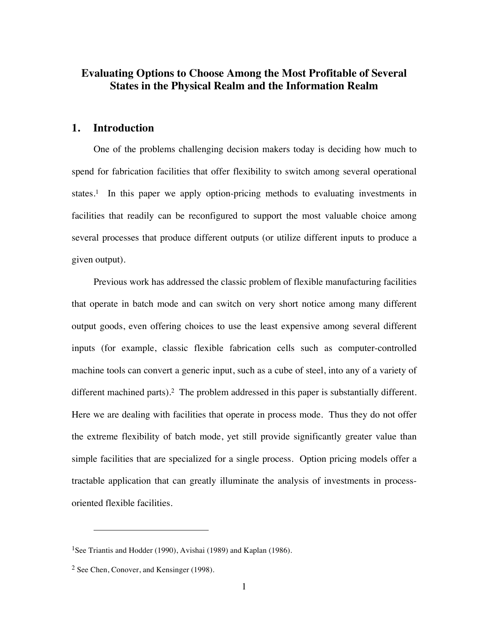# **Evaluating Options to Choose Among the Most Profitable of Several States in the Physical Realm and the Information Realm**

## **1. Introduction**

One of the problems challenging decision makers today is deciding how much to spend for fabrication facilities that offer flexibility to switch among several operational states.<sup>1</sup> In this paper we apply option-pricing methods to evaluating investments in facilities that readily can be reconfigured to support the most valuable choice among several processes that produce different outputs (or utilize different inputs to produce a given output).

Previous work has addressed the classic problem of flexible manufacturing facilities that operate in batch mode and can switch on very short notice among many different output goods, even offering choices to use the least expensive among several different inputs (for example, classic flexible fabrication cells such as computer-controlled machine tools can convert a generic input, such as a cube of steel, into any of a variety of different machined parts).<sup>2</sup> The problem addressed in this paper is substantially different. Here we are dealing with facilities that operate in process mode. Thus they do not offer the extreme flexibility of batch mode, yet still provide significantly greater value than simple facilities that are specialized for a single process. Option pricing models offer a tractable application that can greatly illuminate the analysis of investments in processoriented flexible facilities.

<u>.</u>

<sup>&</sup>lt;sup>1</sup>See Triantis and Hodder (1990), Avishai (1989) and Kaplan (1986).

<sup>2</sup> See Chen, Conover, and Kensinger (1998).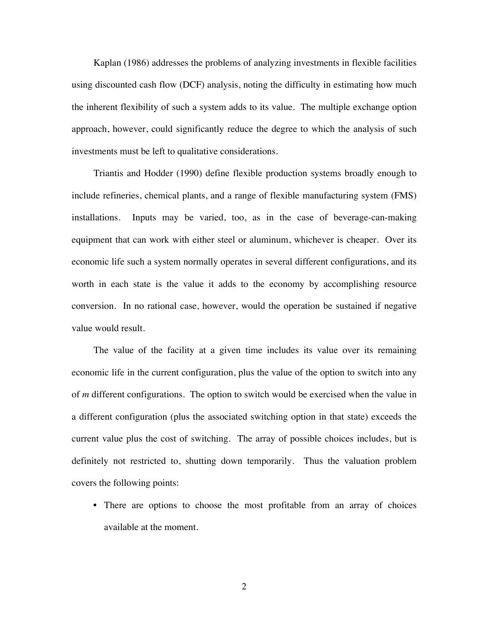Kaplan (1986) addresses the problems of analyzing investments in flexible facilities using discounted cash flow (DCF) analysis, noting the difficulty in estimating how much the inherent flexibility of such a system adds to its value. The multiple exchange option approach, however, could significantly reduce the degree to which the analysis of such investments must be left to qualitative considerations.

Triantis and Hodder (1990) define flexible production systems broadly enough to include refineries, chemical plants, and a range of flexible manufacturing system (FMS) installations. Inputs may be varied, too, as in the case of beverage-can-making equipment that can work with either steel or aluminum, whichever is cheaper. Over its economic life such a system normally operates in several different configurations, and its worth in each state is the value it adds to the economy by accomplishing resource conversion. In no rational case, however, would the operation be sustained if negative value would result.

The value of the facility at a given time includes its value over its remaining economic life in the current configuration, plus the value of the option to switch into any of *m* different configurations. The option to switch would be exercised when the value in a different configuration (plus the associated switching option in that state) exceeds the current value plus the cost of switching. The array of possible choices includes, but is definitely not restricted to, shutting down temporarily. Thus the valuation problem covers the following points:

• There are options to choose the most profitable from an array of choices available at the moment.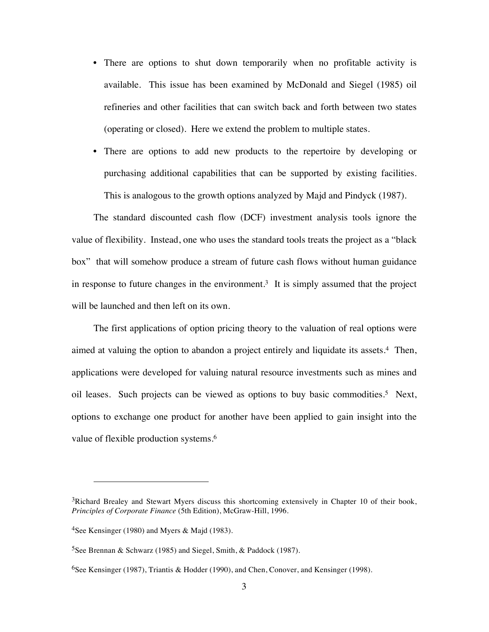- There are options to shut down temporarily when no profitable activity is available. This issue has been examined by McDonald and Siegel (1985) oil refineries and other facilities that can switch back and forth between two states (operating or closed). Here we extend the problem to multiple states.
- There are options to add new products to the repertoire by developing or purchasing additional capabilities that can be supported by existing facilities. This is analogous to the growth options analyzed by Majd and Pindyck (1987).

The standard discounted cash flow (DCF) investment analysis tools ignore the value of flexibility. Instead, one who uses the standard tools treats the project as a "black box" that will somehow produce a stream of future cash flows without human guidance in response to future changes in the environment.<sup>3</sup> It is simply assumed that the project will be launched and then left on its own.

The first applications of option pricing theory to the valuation of real options were aimed at valuing the option to abandon a project entirely and liquidate its assets.4 Then, applications were developed for valuing natural resource investments such as mines and oil leases. Such projects can be viewed as options to buy basic commodities.5 Next, options to exchange one product for another have been applied to gain insight into the value of flexible production systems.<sup>6</sup>

-

<sup>&</sup>lt;sup>3</sup>Richard Brealey and Stewart Myers discuss this shortcoming extensively in Chapter 10 of their book, *Principles of Corporate Finance* (5th Edition), McGraw-Hill, 1996.

<sup>&</sup>lt;sup>4</sup>See Kensinger (1980) and Myers & Majd (1983).

<sup>&</sup>lt;sup>5</sup>See Brennan & Schwarz (1985) and Siegel, Smith, & Paddock (1987).

<sup>6</sup>See Kensinger (1987), Triantis & Hodder (1990), and Chen, Conover, and Kensinger (1998).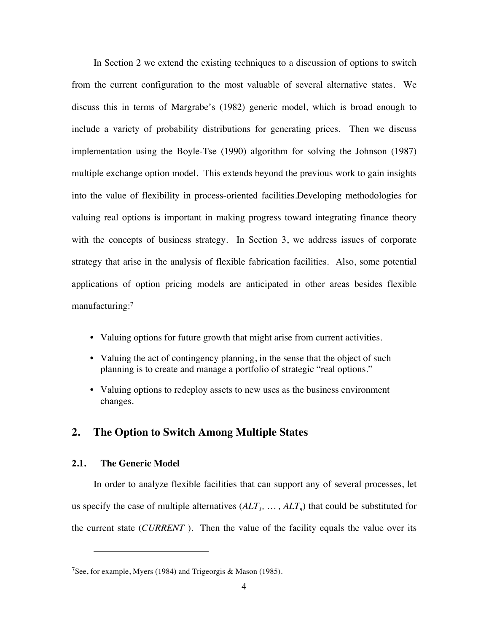In Section 2 we extend the existing techniques to a discussion of options to switch from the current configuration to the most valuable of several alternative states. We discuss this in terms of Margrabe's (1982) generic model, which is broad enough to include a variety of probability distributions for generating prices. Then we discuss implementation using the Boyle-Tse (1990) algorithm for solving the Johnson (1987) multiple exchange option model. This extends beyond the previous work to gain insights into the value of flexibility in process-oriented facilities.Developing methodologies for valuing real options is important in making progress toward integrating finance theory with the concepts of business strategy. In Section 3, we address issues of corporate strategy that arise in the analysis of flexible fabrication facilities. Also, some potential applications of option pricing models are anticipated in other areas besides flexible manufacturing:<sup>7</sup>

- Valuing options for future growth that might arise from current activities.
- Valuing the act of contingency planning, in the sense that the object of such planning is to create and manage a portfolio of strategic "real options."
- Valuing options to redeploy assets to new uses as the business environment changes.

## **2. The Option to Switch Among Multiple States**

## **2.1. The Generic Model**

-

In order to analyze flexible facilities that can support any of several processes, let us specify the case of multiple alternatives  $(ALT_1, \ldots, ALT_n)$  that could be substituted for the current state (*CURRENT* ). Then the value of the facility equals the value over its

<sup>&</sup>lt;sup>7</sup>See, for example, Myers (1984) and Trigeorgis & Mason (1985).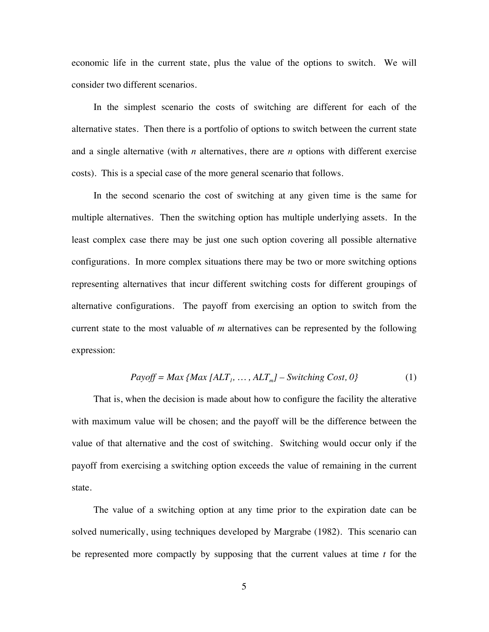economic life in the current state, plus the value of the options to switch. We will consider two different scenarios.

In the simplest scenario the costs of switching are different for each of the alternative states. Then there is a portfolio of options to switch between the current state and a single alternative (with *n* alternatives, there are *n* options with different exercise costs). This is a special case of the more general scenario that follows.

In the second scenario the cost of switching at any given time is the same for multiple alternatives. Then the switching option has multiple underlying assets. In the least complex case there may be just one such option covering all possible alternative configurations. In more complex situations there may be two or more switching options representing alternatives that incur different switching costs for different groupings of alternative configurations. The payoff from exercising an option to switch from the current state to the most valuable of *m* alternatives can be represented by the following expression:

$$
Payoff = Max \{ Max \, [ALT_1, \, \dots, ALT_m] - Switching \, Cost, 0 \}
$$
\n
$$
(1)
$$

That is, when the decision is made about how to configure the facility the alterative with maximum value will be chosen; and the payoff will be the difference between the value of that alternative and the cost of switching. Switching would occur only if the payoff from exercising a switching option exceeds the value of remaining in the current state.

The value of a switching option at any time prior to the expiration date can be solved numerically, using techniques developed by Margrabe (1982). This scenario can be represented more compactly by supposing that the current values at time *t* for the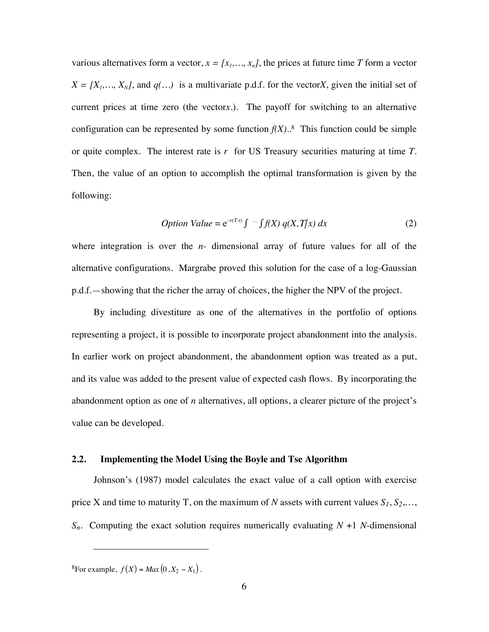various alternatives form a vector,  $x = [x_1, ..., x_n]$ , the prices at future time *T* form a vector  $X = [X_1, \ldots, X_N]$ , and  $q(\ldots)$  is a multivariate p.d.f. for the vector*X*, given the initial set of current prices at time zero (the vector*x*.). The payoff for switching to an alternative configuration can be represented by some function  $f(X)$ <sup>8</sup>. This function could be simple or quite complex. The interest rate is *r* for US Treasury securities maturing at time *T*. Then, the value of an option to accomplish the optimal transformation is given by the following:

*Option Value* = 
$$
e^{-r(T-t)} \int \cdots \int f(X) q(X,T/x) dx
$$
 (2)

where integration is over the *n-* dimensional array of future values for all of the alternative configurations. Margrabe proved this solution for the case of a log-Gaussian p.d.f.—showing that the richer the array of choices, the higher the NPV of the project.

By including divestiture as one of the alternatives in the portfolio of options representing a project, it is possible to incorporate project abandonment into the analysis. In earlier work on project abandonment, the abandonment option was treated as a put, and its value was added to the present value of expected cash flows. By incorporating the abandonment option as one of *n* alternatives, all options, a clearer picture of the project's value can be developed.

### **2.2. Implementing the Model Using the Boyle and Tse Algorithm**

Johnson's (1987) model calculates the exact value of a call option with exercise price X and time to maturity T, on the maximum of N assets with current values  $S_1, S_2,...$ , *Sn*. Computing the exact solution requires numerically evaluating *N* +1 *N*-dimensional

 ${}^{8}$ For example,  $f(X) = Max(0, X_2 - X_1)$ .

<u>.</u>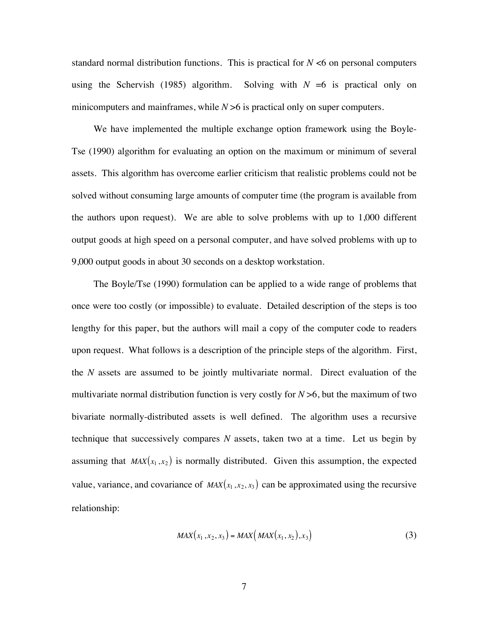standard normal distribution functions. This is practical for  $N \leq 6$  on personal computers using the Schervish (1985) algorithm. Solving with  $N = 6$  is practical only on minicomputers and mainframes, while *N* > 6 is practical only on super computers.

We have implemented the multiple exchange option framework using the Boyle-Tse (1990) algorithm for evaluating an option on the maximum or minimum of several assets. This algorithm has overcome earlier criticism that realistic problems could not be solved without consuming large amounts of computer time (the program is available from the authors upon request). We are able to solve problems with up to 1,000 different output goods at high speed on a personal computer, and have solved problems with up to 9,000 output goods in about 30 seconds on a desktop workstation.

The Boyle/Tse (1990) formulation can be applied to a wide range of problems that once were too costly (or impossible) to evaluate. Detailed description of the steps is too lengthy for this paper, but the authors will mail a copy of the computer code to readers upon request. What follows is a description of the principle steps of the algorithm. First, the *N* assets are assumed to be jointly multivariate normal. Direct evaluation of the multivariate normal distribution function is very costly for *N* >6, but the maximum of two bivariate normally-distributed assets is well defined. The algorithm uses a recursive technique that successively compares *N* assets, taken two at a time. Let us begin by assuming that  $MAX(x_1, x_2)$  is normally distributed. Given this assumption, the expected value, variance, and covariance of  $MAX(x_1, x_2, x_3)$  can be approximated using the recursive relationship:

$$
MAX(x_1, x_2, x_3) = MAX\big(MAX(x_1, x_2), x_3\big) \tag{3}
$$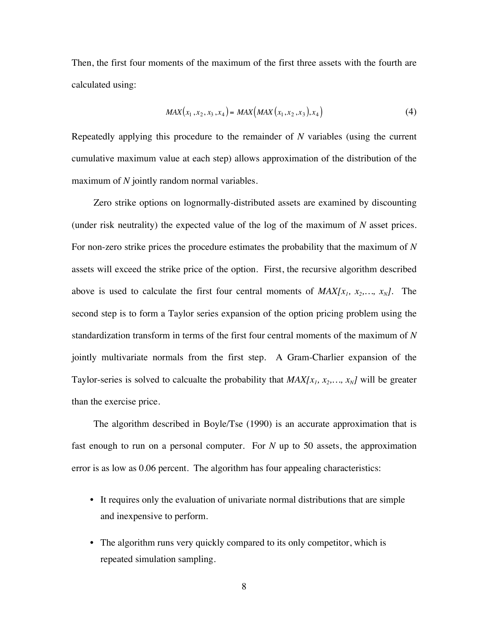Then, the first four moments of the maximum of the first three assets with the fourth are calculated using:

$$
MAX(x_1, x_2, x_3, x_4) = MAX\big(MAX(x_1, x_2, x_3), x_4\big)
$$
\n(4)

Repeatedly applying this procedure to the remainder of *N* variables (using the current cumulative maximum value at each step) allows approximation of the distribution of the maximum of *N* jointly random normal variables.

Zero strike options on lognormally-distributed assets are examined by discounting (under risk neutrality) the expected value of the log of the maximum of *N* asset prices. For non-zero strike prices the procedure estimates the probability that the maximum of *N* assets will exceed the strike price of the option. First, the recursive algorithm described above is used to calculate the first four central moments of  $MAX[x_1, x_2,..., x_N]$ . The second step is to form a Taylor series expansion of the option pricing problem using the standardization transform in terms of the first four central moments of the maximum of *N* jointly multivariate normals from the first step. A Gram-Charlier expansion of the Taylor-series is solved to calcualte the probability that  $MAX[x_1, x_2, ..., x_N]$  will be greater than the exercise price.

The algorithm described in Boyle/Tse (1990) is an accurate approximation that is fast enough to run on a personal computer. For *N* up to 50 assets, the approximation error is as low as 0.06 percent. The algorithm has four appealing characteristics:

- It requires only the evaluation of univariate normal distributions that are simple and inexpensive to perform.
- The algorithm runs very quickly compared to its only competitor, which is repeated simulation sampling.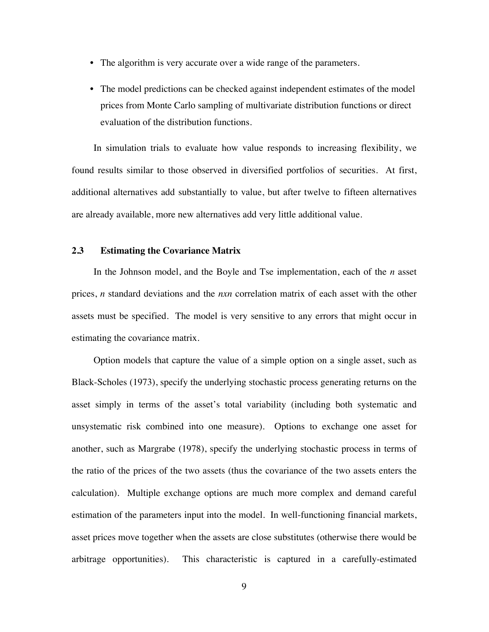- The algorithm is very accurate over a wide range of the parameters.
- The model predictions can be checked against independent estimates of the model prices from Monte Carlo sampling of multivariate distribution functions or direct evaluation of the distribution functions.

In simulation trials to evaluate how value responds to increasing flexibility, we found results similar to those observed in diversified portfolios of securities. At first, additional alternatives add substantially to value, but after twelve to fifteen alternatives are already available, more new alternatives add very little additional value.

### **2.3 Estimating the Covariance Matrix**

In the Johnson model, and the Boyle and Tse implementation, each of the *n* asset prices, *n* standard deviations and the *nxn* correlation matrix of each asset with the other assets must be specified. The model is very sensitive to any errors that might occur in estimating the covariance matrix.

Option models that capture the value of a simple option on a single asset, such as Black-Scholes (1973), specify the underlying stochastic process generating returns on the asset simply in terms of the asset's total variability (including both systematic and unsystematic risk combined into one measure). Options to exchange one asset for another, such as Margrabe (1978), specify the underlying stochastic process in terms of the ratio of the prices of the two assets (thus the covariance of the two assets enters the calculation). Multiple exchange options are much more complex and demand careful estimation of the parameters input into the model. In well-functioning financial markets, asset prices move together when the assets are close substitutes (otherwise there would be arbitrage opportunities). This characteristic is captured in a carefully-estimated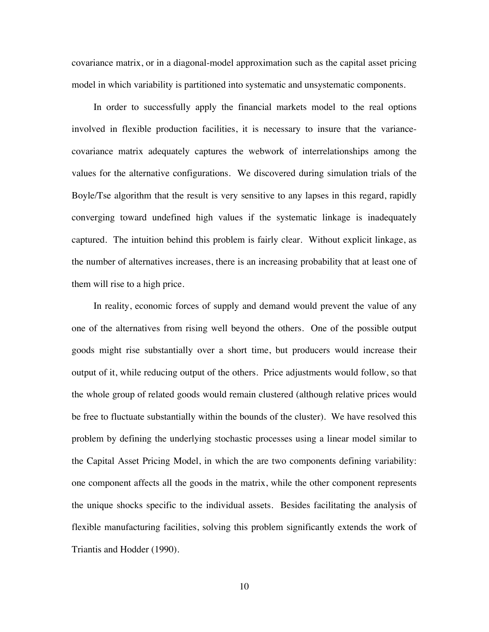covariance matrix, or in a diagonal-model approximation such as the capital asset pricing model in which variability is partitioned into systematic and unsystematic components.

In order to successfully apply the financial markets model to the real options involved in flexible production facilities, it is necessary to insure that the variancecovariance matrix adequately captures the webwork of interrelationships among the values for the alternative configurations. We discovered during simulation trials of the Boyle/Tse algorithm that the result is very sensitive to any lapses in this regard, rapidly converging toward undefined high values if the systematic linkage is inadequately captured. The intuition behind this problem is fairly clear. Without explicit linkage, as the number of alternatives increases, there is an increasing probability that at least one of them will rise to a high price.

In reality, economic forces of supply and demand would prevent the value of any one of the alternatives from rising well beyond the others. One of the possible output goods might rise substantially over a short time, but producers would increase their output of it, while reducing output of the others. Price adjustments would follow, so that the whole group of related goods would remain clustered (although relative prices would be free to fluctuate substantially within the bounds of the cluster). We have resolved this problem by defining the underlying stochastic processes using a linear model similar to the Capital Asset Pricing Model, in which the are two components defining variability: one component affects all the goods in the matrix, while the other component represents the unique shocks specific to the individual assets. Besides facilitating the analysis of flexible manufacturing facilities, solving this problem significantly extends the work of Triantis and Hodder (1990).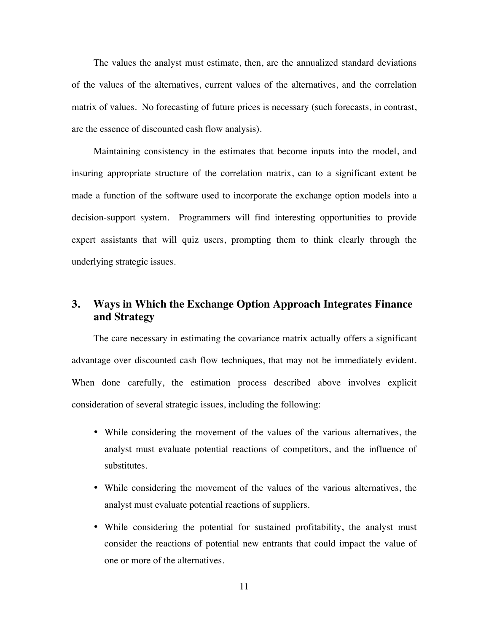The values the analyst must estimate, then, are the annualized standard deviations of the values of the alternatives, current values of the alternatives, and the correlation matrix of values. No forecasting of future prices is necessary (such forecasts, in contrast, are the essence of discounted cash flow analysis).

Maintaining consistency in the estimates that become inputs into the model, and insuring appropriate structure of the correlation matrix, can to a significant extent be made a function of the software used to incorporate the exchange option models into a decision-support system. Programmers will find interesting opportunities to provide expert assistants that will quiz users, prompting them to think clearly through the underlying strategic issues.

# **3. Ways in Which the Exchange Option Approach Integrates Finance and Strategy**

The care necessary in estimating the covariance matrix actually offers a significant advantage over discounted cash flow techniques, that may not be immediately evident. When done carefully, the estimation process described above involves explicit consideration of several strategic issues, including the following:

- While considering the movement of the values of the various alternatives, the analyst must evaluate potential reactions of competitors, and the influence of substitutes.
- While considering the movement of the values of the various alternatives, the analyst must evaluate potential reactions of suppliers.
- While considering the potential for sustained profitability, the analyst must consider the reactions of potential new entrants that could impact the value of one or more of the alternatives.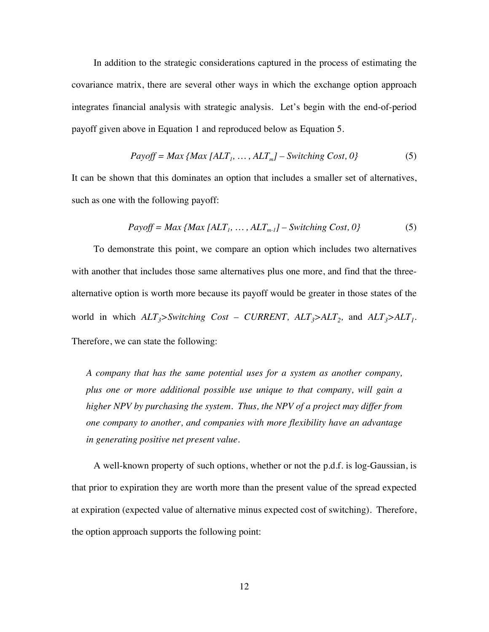In addition to the strategic considerations captured in the process of estimating the covariance matrix, there are several other ways in which the exchange option approach integrates financial analysis with strategic analysis. Let's begin with the end-of-period payoff given above in Equation 1 and reproduced below as Equation 5.

$$
Payoff = Max \{Max [ALT1, ..., ALTm] - Switching Cost, 0\}
$$
 (5)

It can be shown that this dominates an option that includes a smaller set of alternatives, such as one with the following payoff:

$$
Payoff = Max \{Max\ [ALT_1, \dots, ALT_{m-1}] - Switching Cost, 0\}
$$
 (5)

To demonstrate this point, we compare an option which includes two alternatives with another that includes those same alternatives plus one more, and find that the threealternative option is worth more because its payoff would be greater in those states of the world in which  $ALT_3$ >Switching Cost – CURRENT,  $ALT_3$ > $ALT_2$ , and  $ALT_3$ > $ALT_1$ . Therefore, we can state the following:

*A company that has the same potential uses for a system as another company, plus one or more additional possible use unique to that company, will gain a higher NPV by purchasing the system. Thus, the NPV of a project may differ from one company to another, and companies with more flexibility have an advantage in generating positive net present value.*

A well-known property of such options, whether or not the p.d.f. is log-Gaussian, is that prior to expiration they are worth more than the present value of the spread expected at expiration (expected value of alternative minus expected cost of switching). Therefore, the option approach supports the following point: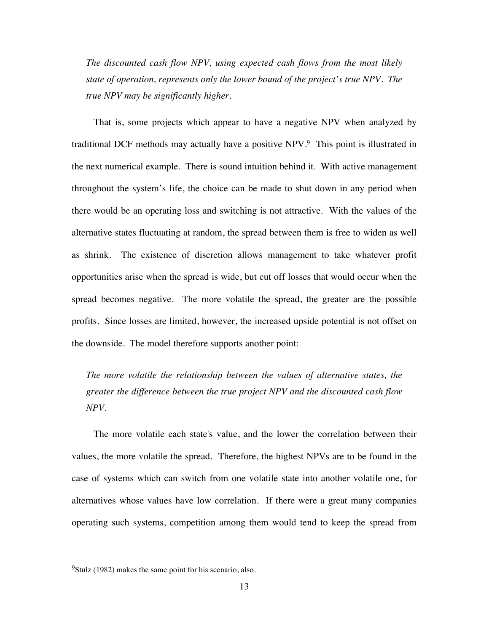*The discounted cash flow NPV, using expected cash flows from the most likely state of operation, represents only the lower bound of the project's true NPV. The true NPV may be significantly higher.*

That is, some projects which appear to have a negative NPV when analyzed by traditional DCF methods may actually have a positive NPV.9 This point is illustrated in the next numerical example. There is sound intuition behind it. With active management throughout the system's life, the choice can be made to shut down in any period when there would be an operating loss and switching is not attractive*.* With the values of the alternative states fluctuating at random, the spread between them is free to widen as well as shrink. The existence of discretion allows management to take whatever profit opportunities arise when the spread is wide, but cut off losses that would occur when the spread becomes negative. The more volatile the spread, the greater are the possible profits. Since losses are limited, however, the increased upside potential is not offset on the downside. The model therefore supports another point:

*The more volatile the relationship between the values of alternative states, the greater the difference between the true project NPV and the discounted cash flow NPV.*

The more volatile each state's value, and the lower the correlation between their values, the more volatile the spread. Therefore, the highest NPVs are to be found in the case of systems which can switch from one volatile state into another volatile one, for alternatives whose values have low correlation. If there were a great many companies operating such systems, competition among them would tend to keep the spread from

<u>.</u>

 $9$ Stulz (1982) makes the same point for his scenario, also.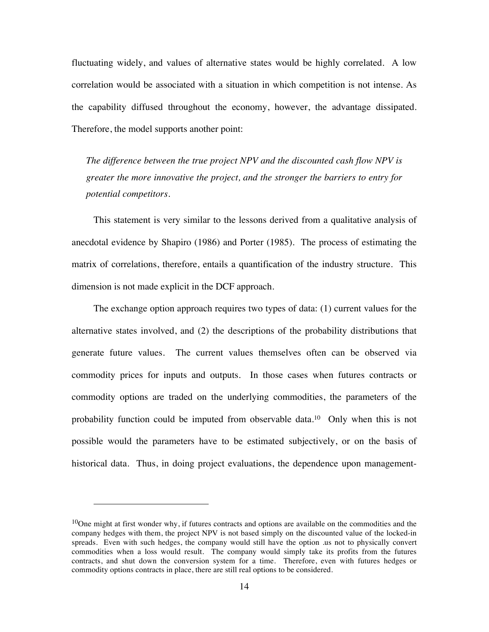fluctuating widely, and values of alternative states would be highly correlated. A low correlation would be associated with a situation in which competition is not intense. As the capability diffused throughout the economy, however, the advantage dissipated. Therefore, the model supports another point:

*The difference between the true project NPV and the discounted cash flow NPV is greater the more innovative the project, and the stronger the barriers to entry for potential competitors.*

This statement is very similar to the lessons derived from a qualitative analysis of anecdotal evidence by Shapiro (1986) and Porter (1985). The process of estimating the matrix of correlations, therefore, entails a quantification of the industry structure. This dimension is not made explicit in the DCF approach.

The exchange option approach requires two types of data: (1) current values for the alternative states involved, and (2) the descriptions of the probability distributions that generate future values. The current values themselves often can be observed via commodity prices for inputs and outputs. In those cases when futures contracts or commodity options are traded on the underlying commodities, the parameters of the probability function could be imputed from observable data.10 Only when this is not possible would the parameters have to be estimated subjectively, or on the basis of historical data. Thus, in doing project evaluations, the dependence upon management-

-

 $10$ One might at first wonder why, if futures contracts and options are available on the commodities and the company hedges with them, the project NPV is not based simply on the discounted value of the locked-in spreads. Even with such hedges, the company would still have the option .us not to physically convert commodities when a loss would result. The company would simply take its profits from the futures contracts, and shut down the conversion system for a time. Therefore, even with futures hedges or commodity options contracts in place, there are still real options to be considered.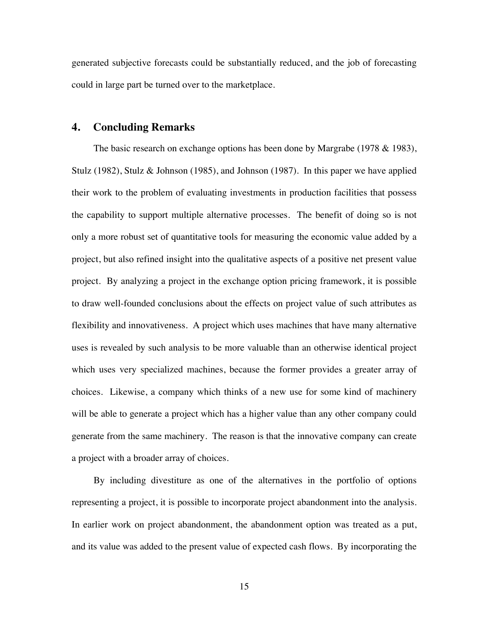generated subjective forecasts could be substantially reduced, and the job of forecasting could in large part be turned over to the marketplace.

## **4. Concluding Remarks**

The basic research on exchange options has been done by Margrabe (1978 & 1983), Stulz (1982), Stulz & Johnson (1985), and Johnson (1987). In this paper we have applied their work to the problem of evaluating investments in production facilities that possess the capability to support multiple alternative processes. The benefit of doing so is not only a more robust set of quantitative tools for measuring the economic value added by a project, but also refined insight into the qualitative aspects of a positive net present value project. By analyzing a project in the exchange option pricing framework, it is possible to draw well-founded conclusions about the effects on project value of such attributes as flexibility and innovativeness. A project which uses machines that have many alternative uses is revealed by such analysis to be more valuable than an otherwise identical project which uses very specialized machines, because the former provides a greater array of choices. Likewise, a company which thinks of a new use for some kind of machinery will be able to generate a project which has a higher value than any other company could generate from the same machinery. The reason is that the innovative company can create a project with a broader array of choices.

By including divestiture as one of the alternatives in the portfolio of options representing a project, it is possible to incorporate project abandonment into the analysis. In earlier work on project abandonment, the abandonment option was treated as a put, and its value was added to the present value of expected cash flows. By incorporating the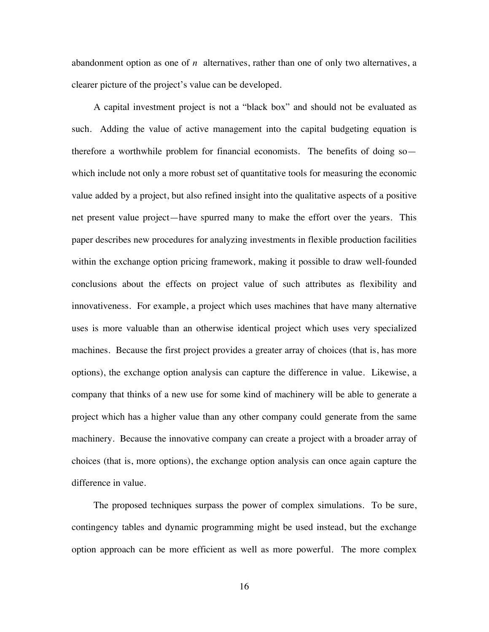abandonment option as one of *n* alternatives, rather than one of only two alternatives, a clearer picture of the project's value can be developed.

A capital investment project is not a "black box" and should not be evaluated as such. Adding the value of active management into the capital budgeting equation is therefore a worthwhile problem for financial economists. The benefits of doing so which include not only a more robust set of quantitative tools for measuring the economic value added by a project, but also refined insight into the qualitative aspects of a positive net present value project—have spurred many to make the effort over the years. This paper describes new procedures for analyzing investments in flexible production facilities within the exchange option pricing framework, making it possible to draw well-founded conclusions about the effects on project value of such attributes as flexibility and innovativeness. For example, a project which uses machines that have many alternative uses is more valuable than an otherwise identical project which uses very specialized machines. Because the first project provides a greater array of choices (that is, has more options), the exchange option analysis can capture the difference in value. Likewise, a company that thinks of a new use for some kind of machinery will be able to generate a project which has a higher value than any other company could generate from the same machinery. Because the innovative company can create a project with a broader array of choices (that is, more options), the exchange option analysis can once again capture the difference in value.

The proposed techniques surpass the power of complex simulations. To be sure, contingency tables and dynamic programming might be used instead, but the exchange option approach can be more efficient as well as more powerful. The more complex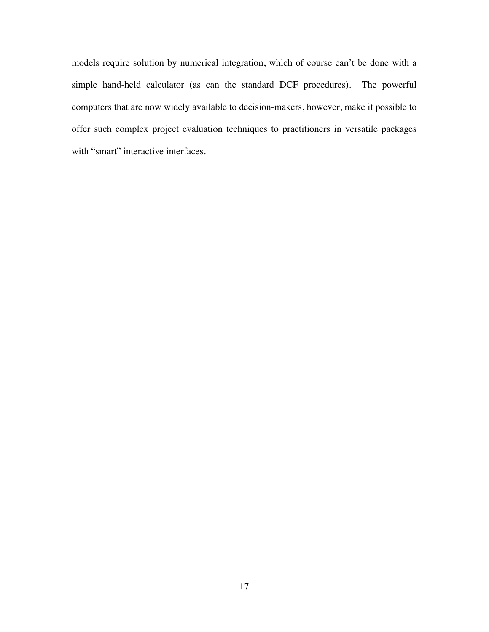models require solution by numerical integration, which of course can't be done with a simple hand-held calculator (as can the standard DCF procedures). The powerful computers that are now widely available to decision-makers, however, make it possible to offer such complex project evaluation techniques to practitioners in versatile packages with "smart" interactive interfaces.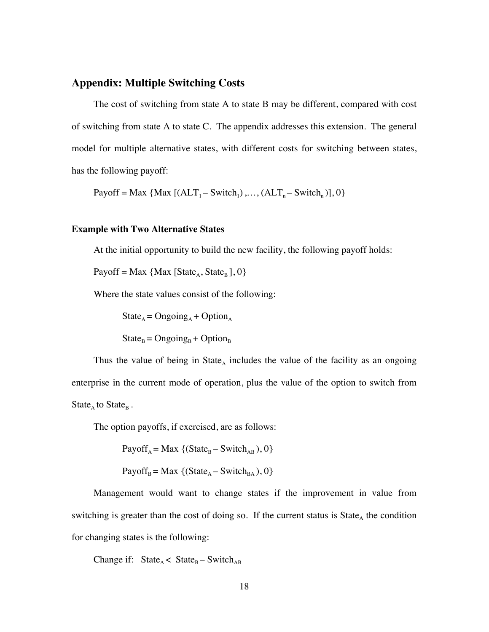### **Appendix: Multiple Switching Costs**

The cost of switching from state A to state B may be different, compared with cost of switching from state A to state C. The appendix addresses this extension. The general model for multiple alternative states, with different costs for switching between states, has the following payoff:

Payoff = Max  $\{Max [ (ALT_1 - Switch_1), ..., (ALT_n - Switch_n)], 0\}$ 

### **Example with Two Alternative States**

At the initial opportunity to build the new facility, the following payoff holds:

Payoff = Max {Max [State<sub>A</sub>, State<sub>B</sub>], 0}

Where the state values consist of the following:

 $State_A = Ongoing_A + Option_A$  $State_B = Ongoing_B + Option_B$ 

Thus the value of being in State<sub>A</sub> includes the value of the facility as an ongoing enterprise in the current mode of operation, plus the value of the option to switch from State<sub>A</sub> to State<sub>B</sub>.

The option payoffs, if exercised, are as follows:

Payoff<sub>A</sub> = Max {(State<sub>B</sub> – Switch<sub>AB</sub>), 0}

Payoff<sub>B</sub> = Max {(State<sub>A</sub> – Switch<sub>BA</sub>), 0}

Management would want to change states if the improvement in value from switching is greater than the cost of doing so. If the current status is  $State<sub>A</sub>$  the condition for changing states is the following:

Change if:  $State_A < State_B - Switch_{AB}$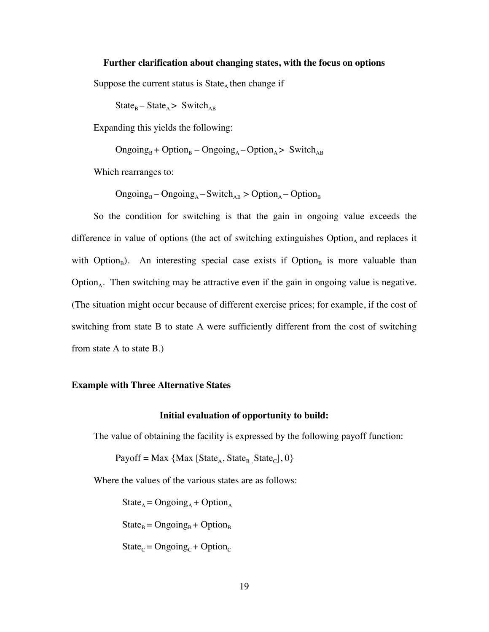### **Further clarification about changing states, with the focus on options**

Suppose the current status is  $State<sub>A</sub>$  then change if

 $State_B - State_A > Switch_{AB}$ 

Expanding this yields the following:

 $\text{Ongoing}_{B}$  +  $\text{Option}_{B}$  –  $\text{Ongoing}_{A}$  –  $\text{Option}_{A}$  > Switch<sub>AB</sub>

Which rearranges to:

 $\text{Ongoing}_{B} - \text{Ongoing}_{A} - \text{Switch}_{AB} > \text{Option}_{A} - \text{Option}_{B}$ 

So the condition for switching is that the gain in ongoing value exceeds the difference in value of options (the act of switching extinguishes  $Option_A$  and replaces it with Option<sub>B</sub>). An interesting special case exists if Option<sub>B</sub> is more valuable than Option<sub>A</sub>. Then switching may be attractive even if the gain in ongoing value is negative. (The situation might occur because of different exercise prices; for example, if the cost of switching from state B to state A were sufficiently different from the cost of switching from state A to state B.)

#### **Example with Three Alternative States**

### **Initial evaluation of opportunity to build:**

The value of obtaining the facility is expressed by the following payoff function:

Payoff = Max {Max [State<sub>A</sub>, State<sub>B</sub> State<sub>C</sub>], 0}

Where the values of the various states are as follows:

 $State_A = Ongoing_A + Option_A$  $State_B = Ongoing_B + Option_B$ 

 $State_C = Ongoing_C + Option_C$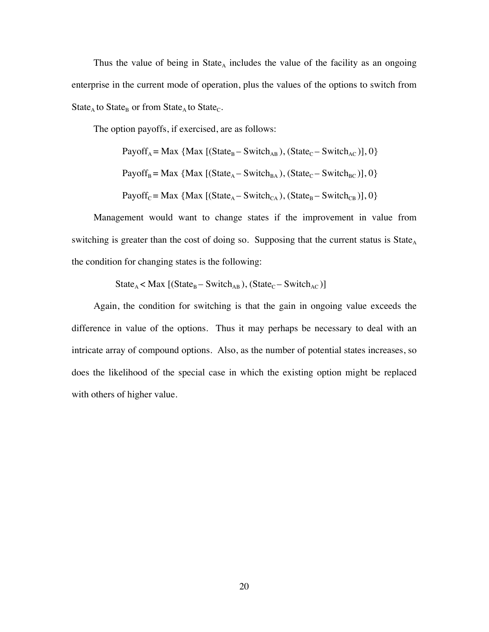Thus the value of being in State<sub>A</sub> includes the value of the facility as an ongoing enterprise in the current mode of operation, plus the values of the options to switch from State<sub>A</sub> to State<sub>B</sub> or from State<sub>A</sub> to State<sub>C</sub>.

The option payoffs, if exercised, are as follows:

PayoffA = Max {Max [(StateB – SwitchAB ), (StateC – SwitchAC )], 0}

Payoff<sub>B</sub> = Max {Max [(State<sub>A</sub> – Switch<sub>BA</sub>), (State<sub>C</sub> – Switch<sub>BC</sub>)], 0}

Payoff<sub>C</sub> = Max {Max [(State<sub>A</sub> – Switch<sub>CA</sub>), (State<sub>B</sub> – Switch<sub>CB</sub>)], 0}

Management would want to change states if the improvement in value from switching is greater than the cost of doing so. Supposing that the current status is State<sub>A</sub> the condition for changing states is the following:

 $State_A < Max$  [(State<sub>B</sub> – Switch<sub>AB</sub>), (State<sub>C</sub> – Switch<sub>AC</sub>)]

Again, the condition for switching is that the gain in ongoing value exceeds the difference in value of the options. Thus it may perhaps be necessary to deal with an intricate array of compound options. Also, as the number of potential states increases, so does the likelihood of the special case in which the existing option might be replaced with others of higher value.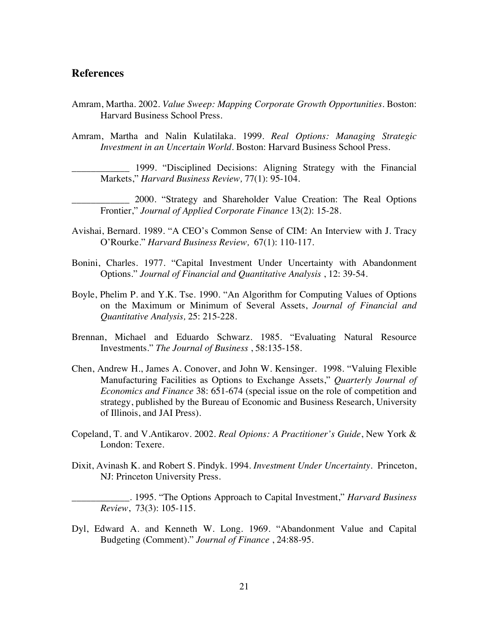## **References**

- Amram, Martha. 2002. *Value Sweep: Mapping Corporate Growth Opportunities.* Boston: Harvard Business School Press.
- Amram, Martha and Nalin Kulatilaka. 1999. *Real Options: Managing Strategic Investment in an Uncertain World.* Boston: Harvard Business School Press.

\_\_\_\_\_\_\_\_\_\_\_\_ 1999. "Disciplined Decisions: Aligning Strategy with the Financial Markets," *Harvard Business Review,* 77(1): 95-104.

\_\_\_\_\_\_\_\_\_\_\_\_ 2000. "Strategy and Shareholder Value Creation: The Real Options Frontier," *Journal of Applied Corporate Finance* 13(2): 15-28.

- Avishai, Bernard. 1989. "A CEO's Common Sense of CIM: An Interview with J. Tracy O'Rourke." *Harvard Business Review,* 67(1): 110-117.
- Bonini, Charles. 1977. "Capital Investment Under Uncertainty with Abandonment Options." *Journal of Financial and Quantitative Analysis* , 12: 39-54.
- Boyle, Phelim P. and Y.K. Tse. 1990. "An Algorithm for Computing Values of Options on the Maximum or Minimum of Several Assets, *Journal of Financial and Quantitative Analysis,* 25: 215-228.
- Brennan, Michael and Eduardo Schwarz. 1985. "Evaluating Natural Resource Investments." *The Journal of Business* , 58:135-158.
- Chen, Andrew H., James A. Conover, and John W. Kensinger. 1998. "Valuing Flexible Manufacturing Facilities as Options to Exchange Assets," *Quarterly Journal of Economics and Finance* 38: 651-674 (special issue on the role of competition and strategy, published by the Bureau of Economic and Business Research, University of Illinois, and JAI Press).
- Copeland, T. and V.Antikarov. 2002. *Real Opions: A Practitioner's Guide*, New York & London: Texere.
- Dixit, Avinash K. and Robert S. Pindyk. 1994. *Investment Under Uncertainty*. Princeton, NJ: Princeton University Press.

\_\_\_\_\_\_\_\_\_\_\_\_. 1995. "The Options Approach to Capital Investment," *Harvard Business Review*, 73(3): 105-115.

Dyl, Edward A. and Kenneth W. Long. 1969. "Abandonment Value and Capital Budgeting (Comment)." *Journal of Finance* , 24:88-95.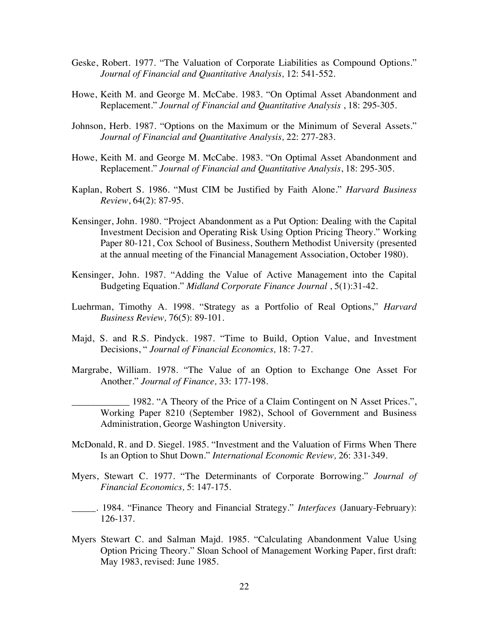- Geske, Robert. 1977. "The Valuation of Corporate Liabilities as Compound Options." *Journal of Financial and Quantitative Analysis,* 12: 541-552.
- Howe, Keith M. and George M. McCabe. 1983. "On Optimal Asset Abandonment and Replacement." *Journal of Financial and Quantitative Analysis* , 18: 295-305.
- Johnson, Herb. 1987. "Options on the Maximum or the Minimum of Several Assets." *Journal of Financial and Quantitative Analysis,* 22: 277-283.
- Howe, Keith M. and George M. McCabe. 1983. "On Optimal Asset Abandonment and Replacement." *Journal of Financial and Quantitative Analysis*, 18: 295-305.
- Kaplan, Robert S. 1986. "Must CIM be Justified by Faith Alone." *Harvard Business Review*, 64(2): 87-95.
- Kensinger, John. 1980. "Project Abandonment as a Put Option: Dealing with the Capital Investment Decision and Operating Risk Using Option Pricing Theory." Working Paper 80-121, Cox School of Business, Southern Methodist University (presented at the annual meeting of the Financial Management Association, October 1980).
- Kensinger, John. 1987. "Adding the Value of Active Management into the Capital Budgeting Equation." *Midland Corporate Finance Journal* , 5(1):31-42.
- Luehrman, Timothy A. 1998. "Strategy as a Portfolio of Real Options," *Harvard Business Review,* 76(5): 89-101.
- Majd, S. and R.S. Pindyck. 1987. "Time to Build, Option Value, and Investment Decisions, " *Journal of Financial Economics,* 18: 7-27.
- Margrabe, William. 1978. "The Value of an Option to Exchange One Asset For Another." *Journal of Finance,* 33: 177-198.
	- 1982. "A Theory of the Price of a Claim Contingent on N Asset Prices.", Working Paper 8210 (September 1982), School of Government and Business Administration, George Washington University.
- McDonald, R. and D. Siegel. 1985. "Investment and the Valuation of Firms When There Is an Option to Shut Down." *International Economic Review,* 26: 331-349.
- Myers, Stewart C. 1977. "The Determinants of Corporate Borrowing." *Journal of Financial Economics,* 5: 147-175.
- \_\_\_\_\_. 1984. "Finance Theory and Financial Strategy." *Interfaces* (January-February): 126-137.
- Myers Stewart C. and Salman Majd. 1985. "Calculating Abandonment Value Using Option Pricing Theory." Sloan School of Management Working Paper, first draft: May 1983, revised: June 1985.